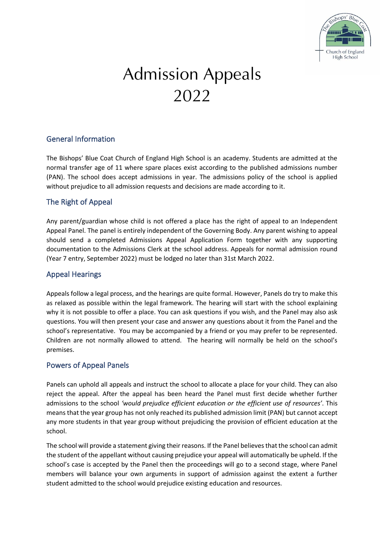

# **Admission Appeals** 2022

## General Information

The Bishops' Blue Coat Church of England High School is an academy. Students are admitted at the normal transfer age of 11 where spare places exist according to the published admissions number (PAN). The school does accept admissions in year. The admissions policy of the school is applied without prejudice to all admission requests and decisions are made according to it.

### The Right of Appeal

Any parent/guardian whose child is not offered a place has the right of appeal to an Independent Appeal Panel. The panel is entirely independent of the Governing Body. Any parent wishing to appeal should send a completed Admissions Appeal Application Form together with any supporting documentation to the Admissions Clerk at the school address. Appeals for normal admission round (Year 7 entry, September 2022) must be lodged no later than 31st March 2022.

## Appeal Hearings

Appeals follow a legal process, and the hearings are quite formal. However, Panels do try to make this as relaxed as possible within the legal framework. The hearing will start with the school explaining why it is not possible to offer a place. You can ask questions if you wish, and the Panel may also ask questions. You will then present your case and answer any questions about it from the Panel and the school's representative. You may be accompanied by a friend or you may prefer to be represented. Children are not normally allowed to attend. The hearing will normally be held on the school's premises.

#### Powers of Appeal Panels

Panels can uphold all appeals and instruct the school to allocate a place for your child. They can also reject the appeal. After the appeal has been heard the Panel must first decide whether further admissions to the school *'would prejudice efficient education or the efficient use of resources'*. This means that the year group has not only reached its published admission limit (PAN) but cannot accept any more students in that year group without prejudicing the provision of efficient education at the school.

The school will provide a statement giving their reasons. If the Panel believes that the school can admit the student of the appellant without causing prejudice your appeal will automatically be upheld. If the school's case is accepted by the Panel then the proceedings will go to a second stage, where Panel members will balance your own arguments in support of admission against the extent a further student admitted to the school would prejudice existing education and resources.